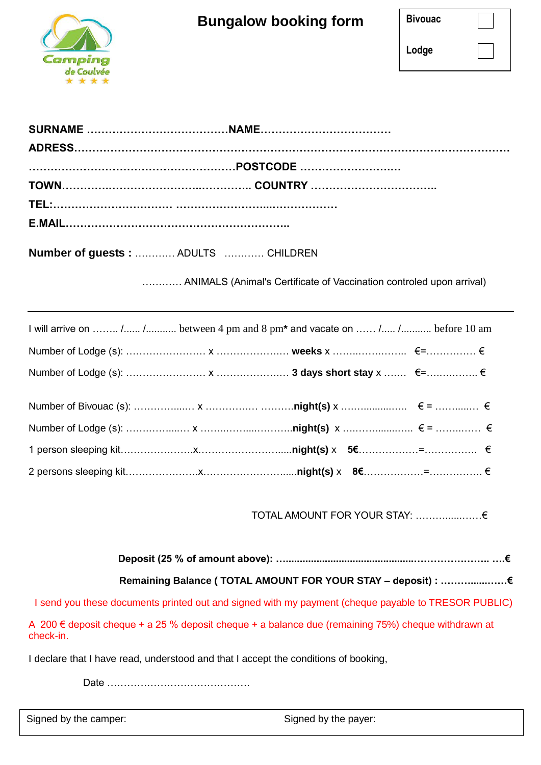

## **Bungalow booking form**

| <b>Bivouac</b> |  |
|----------------|--|
| Lodge          |  |

**Number of guests :** ………… ADULTS ………… CHILDREN

………… ANIMALS (Animal's Certificate of Vaccination controled upon arrival)

|  | I will arrive on  / / between 4 pm and 8 pm* and vacate on  / / before 10 am |
|--|------------------------------------------------------------------------------|
|  |                                                                              |
|  |                                                                              |
|  |                                                                              |
|  |                                                                              |
|  |                                                                              |
|  |                                                                              |

TOTAL AMOUNT FOR YOUR STAY: ………......……€

| Deposit (25 % of amount above): ………………………………………………………………………€ |
|--------------------------------------------------------------|
|                                                              |

**Remaining Balance ( TOTAL AMOUNT FOR YOUR STAY – deposit) : ………......……€**

I send you these documents printed out and signed with my payment (cheque payable to TRESOR PUBLIC)

A 200  $\epsilon$  deposit cheque + a 25 % deposit cheque + a balance due (remaining 75%) cheque withdrawn at check-in.

I declare that I have read, understood and that I accept the conditions of booking,

Date …………………………………….

|  |  |  | Signed by the camper: |
|--|--|--|-----------------------|
|--|--|--|-----------------------|

Signed by the payer: